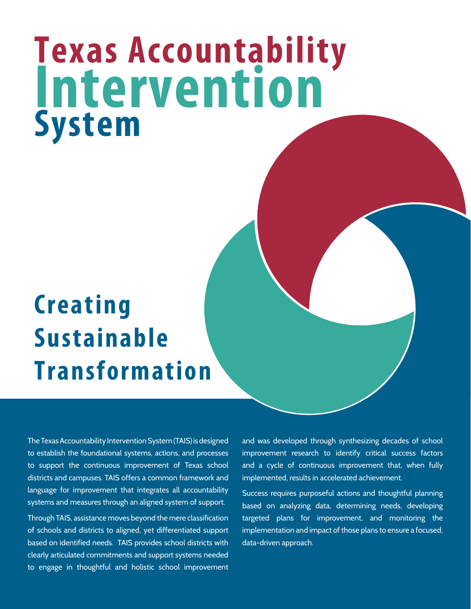# **Texas Accountability System Intervention**

## **Creating Sustainable Transformation**

The Texas Accountability Intervention System (TAIS) is designed to establish the foundational systems, actions, and processes to support the continuous improvement of Texas school districts and campuses. TAIS offers a common framework and language for improvement that integrates all accountability systems and measures through an aligned system of support.

Through TAIS, assistance moves beyond the mere classification of schools and districts to aligned, yet differentiated support based on identified needs. TAIS provides school districts with clearly articulated commitments and support systems needed to engage in thoughtful and holistic school improvement and was developed through synthesizing decades of school improvement research to identify critical success factors and a cycle of continuous improvement that, when fully implemented, results in accelerated achievement.

Success requires purposeful actions and thoughtful planning based on analyzing data, determining needs, developing targeted plans for improvement, and monitoring the implementation and impact of those plans to ensure a focused, data-driven approach.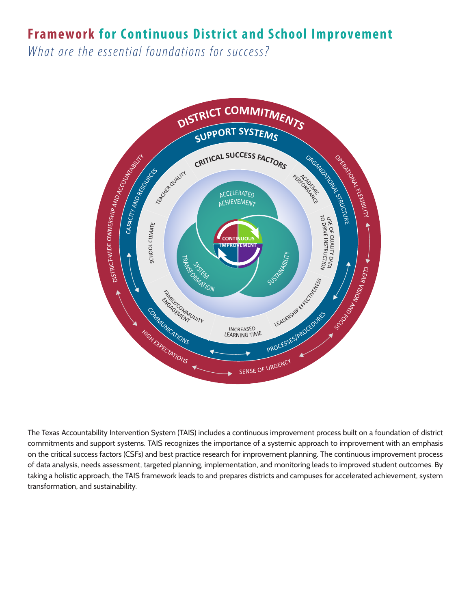## **Framework for Continuous District and School Improvement**

*What are the essential foundations for success?*



The Texas Accountability Intervention System (TAIS) includes a continuous improvement process built on a foundation of district commitments and support systems. TAIS recognizes the importance of a systemic approach to improvement with an emphasis on the critical success factors (CSFs) and best practice research for improvement planning. The continuous improvement process of data analysis, needs assessment, targeted planning, implementation, and monitoring leads to improved student outcomes. By taking a holistic approach, the TAIS framework leads to and prepares districts and campuses for accelerated achievement, system transformation, and sustainability.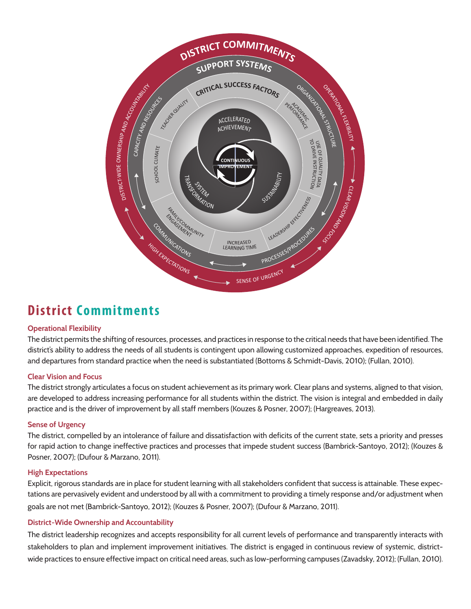![](_page_2_Figure_0.jpeg)

## **District Commitments**

#### **Operational Flexibility**

The district permits the shifting of resources, processes, and practices in response to the critical needs that have been identified. The district's ability to address the needs of all students is contingent upon allowing customized approaches, expedition of resources, and departures from standard practice when the need is substantiated (Bottoms & Schmidt-Davis, 2010); (Fullan, 2010).

#### **Clear Vision and Focus**

The district strongly articulates a focus on student achievement as its primary work. Clear plans and systems, aligned to that vision, are developed to address increasing performance for all students within the district. The vision is integral and embedded in daily practice and is the driver of improvement by all staff members (Kouzes & Posner, 2007); (Hargreaves, 2013).

#### **Sense of Urgency**

The district, compelled by an intolerance of failure and dissatisfaction with deficits of the current state, sets a priority and presses for rapid action to change ineffective practices and processes that impede student success (Bambrick-Santoyo, 2012); (Kouzes & Posner, 2007); (Dufour & Marzano, 2011).

#### **High Expectations**

Explicit, rigorous standards are in place for student learning with all stakeholders confident that success is attainable. These expectations are pervasively evident and understood by all with a commitment to providing a timely response and/or adjustment when goals are not met (Bambrick-Santoyo, 2012); (Kouzes & Posner, 2007); (Dufour & Marzano, 2011).

#### **District-Wide Ownership and Accountability**

The district leadership recognizes and accepts responsibility for all current levels of performance and transparently interacts with stakeholders to plan and implement improvement initiatives. The district is engaged in continuous review of systemic, districtwide practices to ensure effective impact on critical need areas, such as low-performing campuses (Zavadsky, 2012); (Fullan, 2010).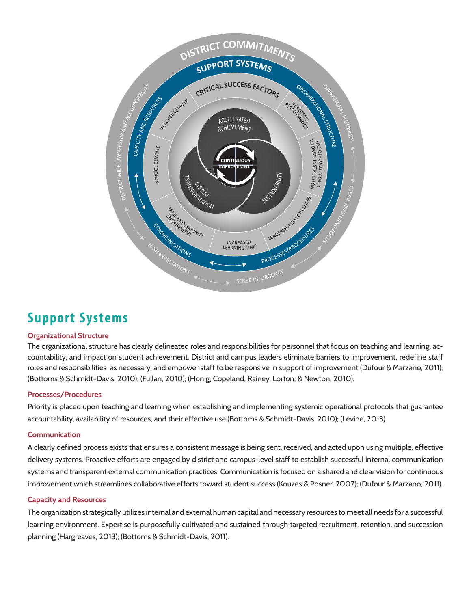![](_page_3_Figure_0.jpeg)

## **Support Systems**

#### **Organizational Structure**

The organizational structure has clearly delineated roles and responsibilities for personnel that focus on teaching and learning, accountability, and impact on student achievement. District and campus leaders eliminate barriers to improvement, redefine staff roles and responsibilities as necessary, and empower staff to be responsive in support of improvement (Dufour & Marzano, 2011); (Bottoms & Schmidt-Davis, 2010); (Fullan, 2010); (Honig, Copeland, Rainey, Lorton, & Newton, 2010).

#### **Processes/Procedures**

Priority is placed upon teaching and learning when establishing and implementing systemic operational protocols that guarantee accountability, availability of resources, and their effective use (Bottoms & Schmidt-Davis, 2010); (Levine, 2013).

#### **Communication**

A clearly defined process exists that ensures a consistent message is being sent, received, and acted upon using multiple, effective delivery systems. Proactive efforts are engaged by district and campus-level staff to establish successful internal communication systems and transparent external communication practices. Communication is focused on a shared and clear vision for continuous improvement which streamlines collaborative efforts toward student success (Kouzes & Posner, 2007); (Dufour & Marzano, 2011).

#### **Capacity and Resources**

The organization strategically utilizes internal and external human capital and necessary resources to meet all needs for a successful learning environment. Expertise is purposefully cultivated and sustained through targeted recruitment, retention, and succession planning (Hargreaves, 2013); (Bottoms & Schmidt-Davis, 2011).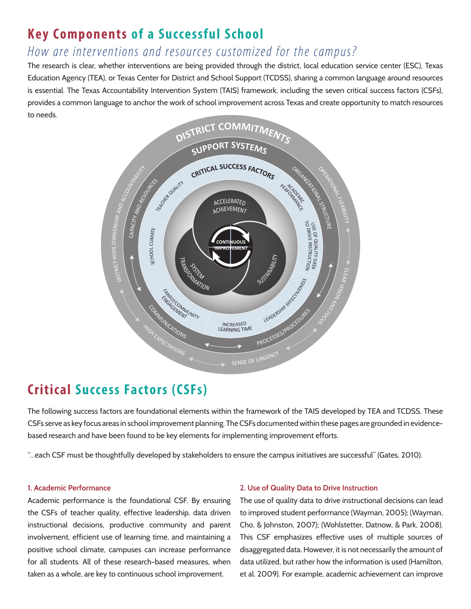## **Key Components of a Successful School**

## *How are interventions and resources customized for the campus?*

The research is clear, whether interventions are being provided through the district, local education service center (ESC), Texas Education Agency (TEA), or Texas Center for District and School Support (TCDSS), sharing a common language around resources is essential. The Texas Accountability Intervention System (TAIS) framework, including the seven critical success factors (CSFs), provides a common language to anchor the work of school improvement across Texas and create opportunity to match resources to needs.

![](_page_4_Figure_3.jpeg)

## **Critical Success Factors (CSFs)**

The following success factors are foundational elements within the framework of the TAIS developed by TEA and TCDSS. These CSFs serve as key focus areas in school improvement planning. The CSFs documented within these pages are grounded in evidencebased research and have been found to be key elements for implementing improvement efforts.

"…each CSF must be thoughtfully developed by stakeholders to ensure the campus initiatives are successful" (Gates, 2010).

#### **1. Academic Performance**

Academic performance is the foundational CSF. By ensuring the CSFs of teacher quality, effective leadership, data driven instructional decisions, productive community and parent involvement, efficient use of learning time, and maintaining a positive school climate, campuses can increase performance for all students. All of these research-based measures, when taken as a whole, are key to continuous school improvement.

#### **2. Use of Quality Data to Drive Instruction**

The use of quality data to drive instructional decisions can lead to improved student performance (Wayman, 2005); (Wayman, Cho, & Johnston, 2007); (Wohlstetter, Datnow, & Park, 2008). This CSF emphasizes effective uses of multiple sources of disaggregated data. However, it is not necessarily the amount of data utilized, but rather how the information is used (Hamilton, et al. 2009). For example, academic achievement can improve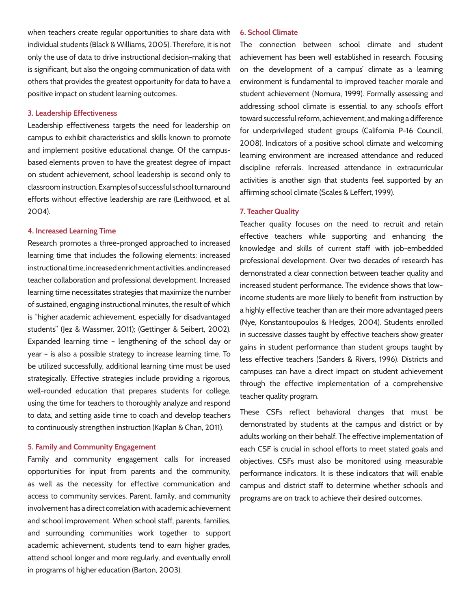when teachers create regular opportunities to share data with individual students (Black & Williams, 2005). Therefore, it is not only the use of data to drive instructional decision-making that is significant, but also the ongoing communication of data with others that provides the greatest opportunity for data to have a positive impact on student learning outcomes.

#### **3. Leadership Effectiveness**

Leadership effectiveness targets the need for leadership on campus to exhibit characteristics and skills known to promote and implement positive educational change. Of the campusbased elements proven to have the greatest degree of impact on student achievement, school leadership is second only to classroom instruction. Examples of successful school turnaround efforts without effective leadership are rare (Leithwood, et al. 2004).

#### **4. Increased Learning Time**

Research promotes a three-pronged approached to increased learning time that includes the following elements: increased instructional time, increased enrichment activities, and increased teacher collaboration and professional development. Increased learning time necessitates strategies that maximize the number of sustained, engaging instructional minutes, the result of which is "higher academic achievement, especially for disadvantaged students" (Jez & Wassmer, 2011); (Gettinger & Seibert, 2002). Expanded learning time – lengthening of the school day or year – is also a possible strategy to increase learning time. To be utilized successfully, additional learning time must be used strategically. Effective strategies include providing a rigorous, well-rounded education that prepares students for college, using the time for teachers to thoroughly analyze and respond to data, and setting aside time to coach and develop teachers to continuously strengthen instruction (Kaplan & Chan, 2011).

#### **5. Family and Community Engagement**

Family and community engagement calls for increased opportunities for input from parents and the community, as well as the necessity for effective communication and access to community services. Parent, family, and community involvement has a direct correlation with academic achievement and school improvement. When school staff, parents, families, and surrounding communities work together to support academic achievement, students tend to earn higher grades, attend school longer and more regularly, and eventually enroll in programs of higher education (Barton, 2003).

#### **6. School Climate**

The connection between school climate and student achievement has been well established in research. Focusing on the development of a campus' climate as a learning environment is fundamental to improved teacher morale and student achievement (Nomura, 1999). Formally assessing and addressing school climate is essential to any school's effort toward successful reform, achievement, and making a difference for underprivileged student groups (California P-16 Council, 2008). Indicators of a positive school climate and welcoming learning environment are increased attendance and reduced discipline referrals. Increased attendance in extracurricular activities is another sign that students feel supported by an affirming school climate (Scales & Leffert, 1999).

#### **7. Teacher Quality**

Teacher quality focuses on the need to recruit and retain effective teachers while supporting and enhancing the knowledge and skills of current staff with job-embedded professional development. Over two decades of research has demonstrated a clear connection between teacher quality and increased student performance. The evidence shows that lowincome students are more likely to benefit from instruction by a highly effective teacher than are their more advantaged peers (Nye, Konstantoupoulos & Hedges, 2004). Students enrolled in successive classes taught by effective teachers show greater gains in student performance than student groups taught by less effective teachers (Sanders & Rivers, 1996). Districts and campuses can have a direct impact on student achievement through the effective implementation of a comprehensive teacher quality program.

These CSFs reflect behavioral changes that must be demonstrated by students at the campus and district or by adults working on their behalf. The effective implementation of each CSF is crucial in school efforts to meet stated goals and objectives. CSFs must also be monitored using measurable performance indicators. It is these indicators that will enable campus and district staff to determine whether schools and programs are on track to achieve their desired outcomes.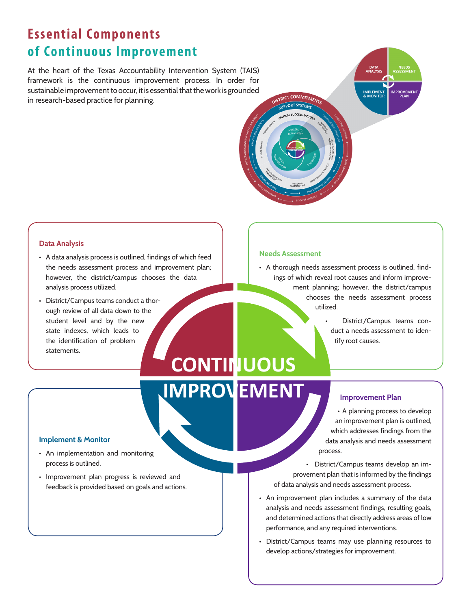## **Essential Components of Continuous Improvement**

At the heart of the Texas Accountability Intervention System (TAIS) framework is the continuous improvement process. In order for sustainable improvement to occur, it is essential that the work is grounded in research-based practice for planning.

![](_page_6_Picture_2.jpeg)

#### **Data Analysis**

- A data analysis process is outlined, findings of which feed the needs assessment process and improvement plan; however, the district/campus chooses the data analysis process utilized.
- • District/Campus teams conduct a thorough review of all data down to the student level and by the new state indexes, which leads to the identification of problem statements.

#### **Needs Assessment**

- • A thorough needs assessment process is outlined, findings of which reveal root causes and inform improvement planning; however, the district/campus chooses the needs assessment process utilized.
	- District/Campus teams conduct a needs assessment to identify root causes.

## **CONTINUOUS IMPROVEMENT**

#### **Improvement Plan**

• A planning process to develop an improvement plan is outlined, which addresses findings from the data analysis and needs assessment process.

• District/Campus teams develop an improvement plan that is informed by the findings of data analysis and needs assessment process.

- An improvement plan includes a summary of the data analysis and needs assessment findings, resulting goals, and determined actions that directly address areas of low performance, and any required interventions.
- • District/Campus teams may use planning resources to develop actions/strategies for improvement.

#### **Implement & Monitor**

- An implementation and monitoring process is outlined.
- • Improvement plan progress is reviewed and feedback is provided based on goals and actions.